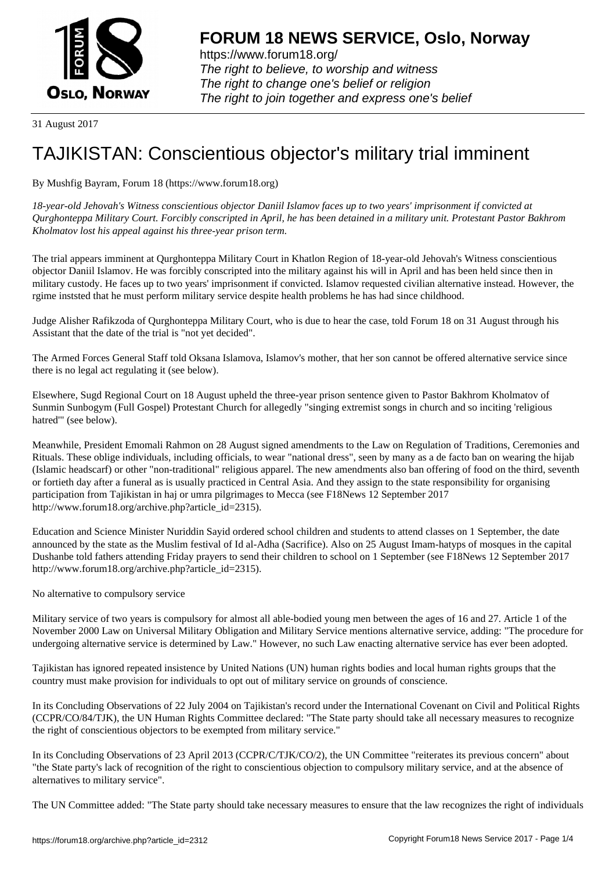

https://www.forum18.org/ The right to believe, to worship and witness The right to change one's belief or religion [The right to join together a](https://www.forum18.org/)nd express one's belief

31 August 2017

## [TAJIKISTAN: C](https://www.forum18.org)onscientious objector's military trial imminent

By Mushfig Bayram, Forum 18 (https://www.forum18.org)

*18-year-old Jehovah's Witness conscientious objector Daniil Islamov faces up to two years' imprisonment if convicted at Qurghonteppa Military Court. Forcibly conscripted in April, he has been detained in a military unit. Protestant Pastor Bakhrom Kholmatov lost his appeal against his three-year prison term.*

The trial appears imminent at Qurghonteppa Military Court in Khatlon Region of 18-year-old Jehovah's Witness conscientious objector Daniil Islamov. He was forcibly conscripted into the military against his will in April and has been held since then in military custody. He faces up to two years' imprisonment if convicted. Islamov requested civilian alternative instead. However, the rgime inststed that he must perform military service despite health problems he has had since childhood.

Judge Alisher Rafikzoda of Qurghonteppa Military Court, who is due to hear the case, told Forum 18 on 31 August through his Assistant that the date of the trial is "not yet decided".

The Armed Forces General Staff told Oksana Islamova, Islamov's mother, that her son cannot be offered alternative service since there is no legal act regulating it (see below).

Elsewhere, Sugd Regional Court on 18 August upheld the three-year prison sentence given to Pastor Bakhrom Kholmatov of Sunmin Sunbogym (Full Gospel) Protestant Church for allegedly "singing extremist songs in church and so inciting 'religious hatred'" (see below).

Meanwhile, President Emomali Rahmon on 28 August signed amendments to the Law on Regulation of Traditions, Ceremonies and Rituals. These oblige individuals, including officials, to wear "national dress", seen by many as a de facto ban on wearing the hijab (Islamic headscarf) or other "non-traditional" religious apparel. The new amendments also ban offering of food on the third, seventh or fortieth day after a funeral as is usually practiced in Central Asia. And they assign to the state responsibility for organising participation from Tajikistan in haj or umra pilgrimages to Mecca (see F18News 12 September 2017 http://www.forum18.org/archive.php?article\_id=2315).

Education and Science Minister Nuriddin Sayid ordered school children and students to attend classes on 1 September, the date announced by the state as the Muslim festival of Id al-Adha (Sacrifice). Also on 25 August Imam-hatyps of mosques in the capital Dushanbe told fathers attending Friday prayers to send their children to school on 1 September (see F18News 12 September 2017 http://www.forum18.org/archive.php?article\_id=2315).

No alternative to compulsory service

Military service of two years is compulsory for almost all able-bodied young men between the ages of 16 and 27. Article 1 of the November 2000 Law on Universal Military Obligation and Military Service mentions alternative service, adding: "The procedure for undergoing alternative service is determined by Law." However, no such Law enacting alternative service has ever been adopted.

Tajikistan has ignored repeated insistence by United Nations (UN) human rights bodies and local human rights groups that the country must make provision for individuals to opt out of military service on grounds of conscience.

In its Concluding Observations of 22 July 2004 on Tajikistan's record under the International Covenant on Civil and Political Rights (CCPR/CO/84/TJK), the UN Human Rights Committee declared: "The State party should take all necessary measures to recognize the right of conscientious objectors to be exempted from military service."

In its Concluding Observations of 23 April 2013 (CCPR/C/TJK/CO/2), the UN Committee "reiterates its previous concern" about "the State party's lack of recognition of the right to conscientious objection to compulsory military service, and at the absence of alternatives to military service".

The UN Committee added: "The State party should take necessary measures to ensure that the law recognizes the right of individuals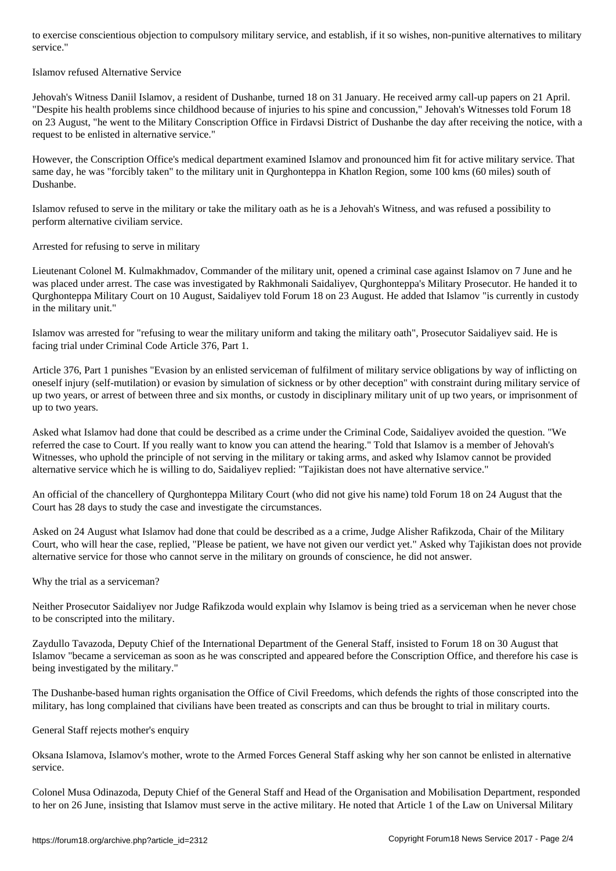## Islamov refused Alternative Service

Jehovah's Witness Daniil Islamov, a resident of Dushanbe, turned 18 on 31 January. He received army call-up papers on 21 April. "Despite his health problems since childhood because of injuries to his spine and concussion," Jehovah's Witnesses told Forum 18 on 23 August, "he went to the Military Conscription Office in Firdavsi District of Dushanbe the day after receiving the notice, with a request to be enlisted in alternative service."

However, the Conscription Office's medical department examined Islamov and pronounced him fit for active military service. That same day, he was "forcibly taken" to the military unit in Qurghonteppa in Khatlon Region, some 100 kms (60 miles) south of Dushanbe.

Islamov refused to serve in the military or take the military oath as he is a Jehovah's Witness, and was refused a possibility to perform alternative civiliam service.

Arrested for refusing to serve in military

Lieutenant Colonel M. Kulmakhmadov, Commander of the military unit, opened a criminal case against Islamov on 7 June and he was placed under arrest. The case was investigated by Rakhmonali Saidaliyev, Qurghonteppa's Military Prosecutor. He handed it to Qurghonteppa Military Court on 10 August, Saidaliyev told Forum 18 on 23 August. He added that Islamov "is currently in custody in the military unit."

Islamov was arrested for "refusing to wear the military uniform and taking the military oath", Prosecutor Saidaliyev said. He is facing trial under Criminal Code Article 376, Part 1.

Article 376, Part 1 punishes "Evasion by an enlisted serviceman of fulfilment of military service obligations by way of inflicting on oneself injury (self-mutilation) or evasion by simulation of sickness or by other deception" with constraint during military service of up two years, or arrest of between three and six months, or custody in disciplinary military unit of up two years, or imprisonment of up to two years.

Asked what Islamov had done that could be described as a crime under the Criminal Code, Saidaliyev avoided the question. "We referred the case to Court. If you really want to know you can attend the hearing." Told that Islamov is a member of Jehovah's Witnesses, who uphold the principle of not serving in the military or taking arms, and asked why Islamov cannot be provided alternative service which he is willing to do, Saidaliyev replied: "Tajikistan does not have alternative service."

An official of the chancellery of Qurghonteppa Military Court (who did not give his name) told Forum 18 on 24 August that the Court has 28 days to study the case and investigate the circumstances.

Asked on 24 August what Islamov had done that could be described as a a crime, Judge Alisher Rafikzoda, Chair of the Military Court, who will hear the case, replied, "Please be patient, we have not given our verdict yet." Asked why Tajikistan does not provide alternative service for those who cannot serve in the military on grounds of conscience, he did not answer.

Why the trial as a serviceman?

Neither Prosecutor Saidaliyev nor Judge Rafikzoda would explain why Islamov is being tried as a serviceman when he never chose to be conscripted into the military.

Zaydullo Tavazoda, Deputy Chief of the International Department of the General Staff, insisted to Forum 18 on 30 August that Islamov "became a serviceman as soon as he was conscripted and appeared before the Conscription Office, and therefore his case is being investigated by the military."

The Dushanbe-based human rights organisation the Office of Civil Freedoms, which defends the rights of those conscripted into the military, has long complained that civilians have been treated as conscripts and can thus be brought to trial in military courts.

General Staff rejects mother's enquiry

Oksana Islamova, Islamov's mother, wrote to the Armed Forces General Staff asking why her son cannot be enlisted in alternative service.

Colonel Musa Odinazoda, Deputy Chief of the General Staff and Head of the Organisation and Mobilisation Department, responded to her on 26 June, insisting that Islamov must serve in the active military. He noted that Article 1 of the Law on Universal Military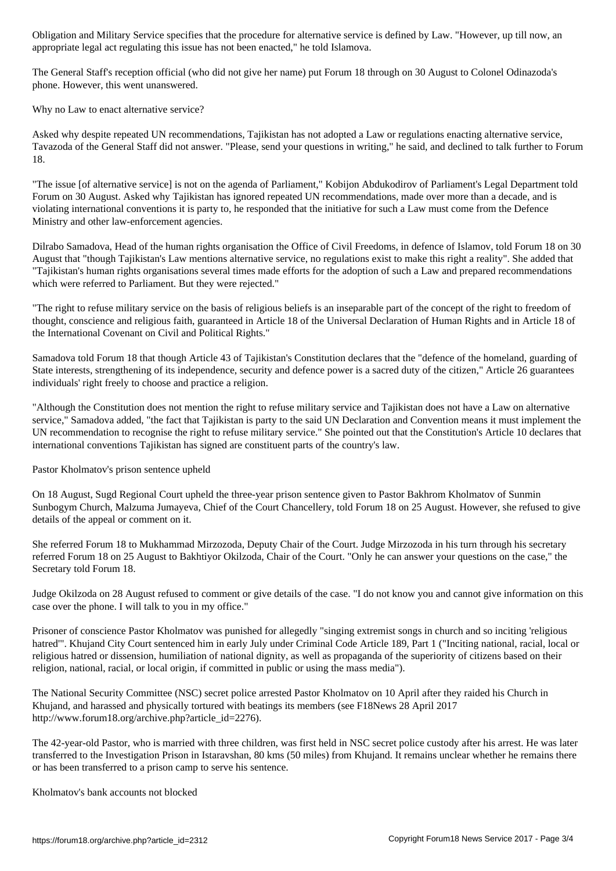appropriate legal act regulating this issue has not been enacted," he told Islamova.

The General Staff's reception official (who did not give her name) put Forum 18 through on 30 August to Colonel Odinazoda's phone. However, this went unanswered.

Why no Law to enact alternative service?

Asked why despite repeated UN recommendations, Tajikistan has not adopted a Law or regulations enacting alternative service, Tavazoda of the General Staff did not answer. "Please, send your questions in writing," he said, and declined to talk further to Forum 18.

"The issue [of alternative service] is not on the agenda of Parliament," Kobijon Abdukodirov of Parliament's Legal Department told Forum on 30 August. Asked why Tajikistan has ignored repeated UN recommendations, made over more than a decade, and is violating international conventions it is party to, he responded that the initiative for such a Law must come from the Defence Ministry and other law-enforcement agencies.

Dilrabo Samadova, Head of the human rights organisation the Office of Civil Freedoms, in defence of Islamov, told Forum 18 on 30 August that "though Tajikistan's Law mentions alternative service, no regulations exist to make this right a reality". She added that "Tajikistan's human rights organisations several times made efforts for the adoption of such a Law and prepared recommendations which were referred to Parliament. But they were rejected."

"The right to refuse military service on the basis of religious beliefs is an inseparable part of the concept of the right to freedom of thought, conscience and religious faith, guaranteed in Article 18 of the Universal Declaration of Human Rights and in Article 18 of the International Covenant on Civil and Political Rights."

Samadova told Forum 18 that though Article 43 of Tajikistan's Constitution declares that the "defence of the homeland, guarding of State interests, strengthening of its independence, security and defence power is a sacred duty of the citizen," Article 26 guarantees individuals' right freely to choose and practice a religion.

"Although the Constitution does not mention the right to refuse military service and Tajikistan does not have a Law on alternative service," Samadova added, "the fact that Tajikistan is party to the said UN Declaration and Convention means it must implement the UN recommendation to recognise the right to refuse military service." She pointed out that the Constitution's Article 10 declares that international conventions Tajikistan has signed are constituent parts of the country's law.

Pastor Kholmatov's prison sentence upheld

On 18 August, Sugd Regional Court upheld the three-year prison sentence given to Pastor Bakhrom Kholmatov of Sunmin Sunbogym Church, Malzuma Jumayeva, Chief of the Court Chancellery, told Forum 18 on 25 August. However, she refused to give details of the appeal or comment on it.

She referred Forum 18 to Mukhammad Mirzozoda, Deputy Chair of the Court. Judge Mirzozoda in his turn through his secretary referred Forum 18 on 25 August to Bakhtiyor Okilzoda, Chair of the Court. "Only he can answer your questions on the case," the Secretary told Forum 18.

Judge Okilzoda on 28 August refused to comment or give details of the case. "I do not know you and cannot give information on this case over the phone. I will talk to you in my office."

Prisoner of conscience Pastor Kholmatov was punished for allegedly "singing extremist songs in church and so inciting 'religious hatred'". Khujand City Court sentenced him in early July under Criminal Code Article 189, Part 1 ("Inciting national, racial, local or religious hatred or dissension, humiliation of national dignity, as well as propaganda of the superiority of citizens based on their religion, national, racial, or local origin, if committed in public or using the mass media").

The National Security Committee (NSC) secret police arrested Pastor Kholmatov on 10 April after they raided his Church in Khujand, and harassed and physically tortured with beatings its members (see F18News 28 April 2017 http://www.forum18.org/archive.php?article\_id=2276).

The 42-year-old Pastor, who is married with three children, was first held in NSC secret police custody after his arrest. He was later transferred to the Investigation Prison in Istaravshan, 80 kms (50 miles) from Khujand. It remains unclear whether he remains there or has been transferred to a prison camp to serve his sentence.

Kholmatov's bank accounts not blocked